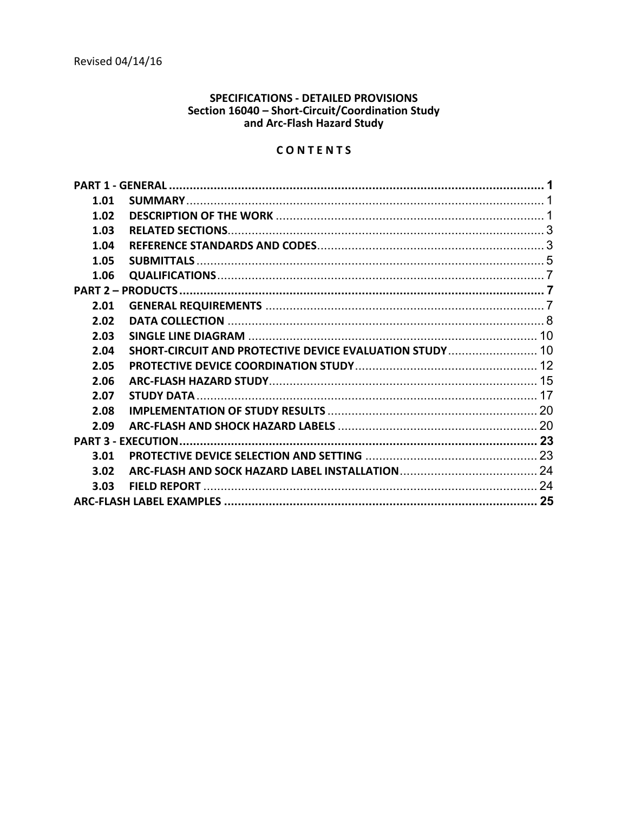# **SPECIFICATIONS - DETAILED PROVISIONS** Section 16040 - Short-Circuit/Coordination Study<br>and Arc-Flash Hazard Study

# CONTENTS

| 1.01 |                                                         |  |  |
|------|---------------------------------------------------------|--|--|
| 1.02 |                                                         |  |  |
| 1.03 |                                                         |  |  |
| 1.04 |                                                         |  |  |
| 1.05 |                                                         |  |  |
| 1.06 |                                                         |  |  |
|      |                                                         |  |  |
| 2.01 |                                                         |  |  |
| 2.02 |                                                         |  |  |
| 2.03 |                                                         |  |  |
| 2.04 | SHORT-CIRCUIT AND PROTECTIVE DEVICE EVALUATION STUDY 10 |  |  |
| 2.05 |                                                         |  |  |
| 2.06 |                                                         |  |  |
| 2.07 |                                                         |  |  |
| 2.08 |                                                         |  |  |
| 2.09 |                                                         |  |  |
|      |                                                         |  |  |
| 3.01 |                                                         |  |  |
| 3.02 |                                                         |  |  |
| 3.03 |                                                         |  |  |
|      |                                                         |  |  |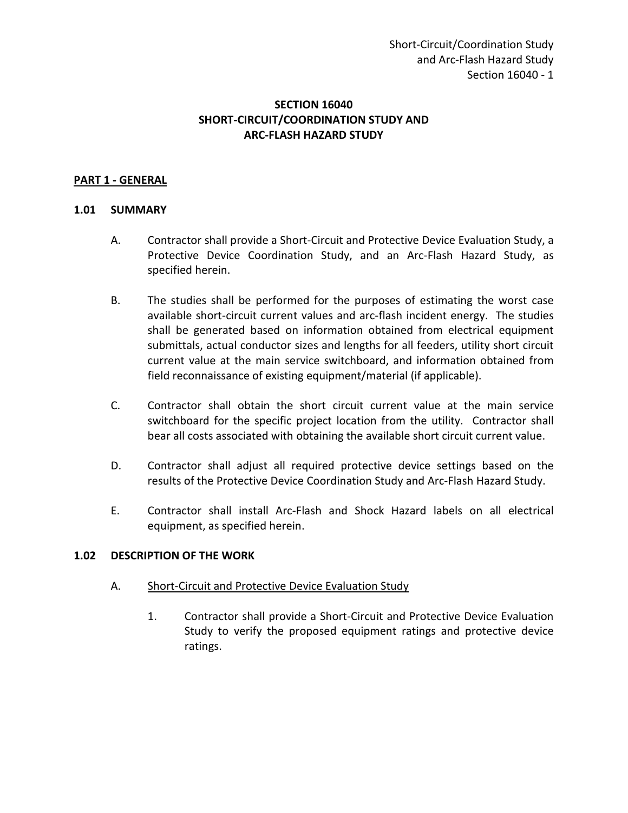## **SECTION 16040 SHORT-CIRCUIT/COORDINATION STUDY AND ARC-FLASH HAZARD STUDY**

#### <span id="page-2-0"></span>**PART 1 - GENERAL**

#### <span id="page-2-1"></span>**1.01 SUMMARY**

- A. Contractor shall provide a Short-Circuit and Protective Device Evaluation Study, a Protective Device Coordination Study, and an Arc-Flash Hazard Study, as specified herein.
- B. The studies shall be performed for the purposes of estimating the worst case available short-circuit current values and arc-flash incident energy. The studies shall be generated based on information obtained from electrical equipment submittals, actual conductor sizes and lengths for all feeders, utility short circuit current value at the main service switchboard, and information obtained from field reconnaissance of existing equipment/material (if applicable).
- C. Contractor shall obtain the short circuit current value at the main service switchboard for the specific project location from the utility. Contractor shall bear all costs associated with obtaining the available short circuit current value.
- D. Contractor shall adjust all required protective device settings based on the results of the Protective Device Coordination Study and Arc-Flash Hazard Study.
- E. Contractor shall install Arc-Flash and Shock Hazard labels on all electrical equipment, as specified herein.

#### <span id="page-2-2"></span>**1.02 DESCRIPTION OF THE WORK**

- A. Short-Circuit and Protective Device Evaluation Study
	- 1. Contractor shall provide a Short-Circuit and Protective Device Evaluation Study to verify the proposed equipment ratings and protective device ratings.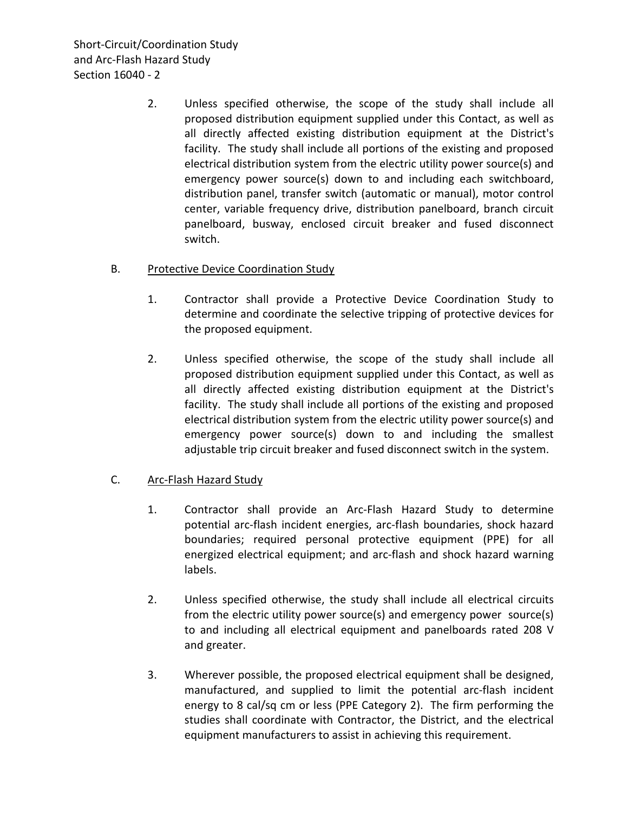Short-Circuit/Coordination Study and Arc-Flash Hazard Study Section 16040 - 2

> 2. Unless specified otherwise, the scope of the study shall include all proposed distribution equipment supplied under this Contact, as well as all directly affected existing distribution equipment at the District's facility. The study shall include all portions of the existing and proposed electrical distribution system from the electric utility power source(s) and emergency power source(s) down to and including each switchboard, distribution panel, transfer switch (automatic or manual), motor control center, variable frequency drive, distribution panelboard, branch circuit panelboard, busway, enclosed circuit breaker and fused disconnect switch.

### B. Protective Device Coordination Study

- 1. Contractor shall provide a Protective Device Coordination Study to determine and coordinate the selective tripping of protective devices for the proposed equipment.
- 2. Unless specified otherwise, the scope of the study shall include all proposed distribution equipment supplied under this Contact, as well as all directly affected existing distribution equipment at the District's facility. The study shall include all portions of the existing and proposed electrical distribution system from the electric utility power source(s) and emergency power source(s) down to and including the smallest adjustable trip circuit breaker and fused disconnect switch in the system.

## C. Arc-Flash Hazard Study

- 1. Contractor shall provide an Arc-Flash Hazard Study to determine potential arc-flash incident energies, arc-flash boundaries, shock hazard boundaries; required personal protective equipment (PPE) for all energized electrical equipment; and arc-flash and shock hazard warning labels.
- 2. Unless specified otherwise, the study shall include all electrical circuits from the electric utility power source(s) and emergency power source(s) to and including all electrical equipment and panelboards rated 208 V and greater.
- 3. Wherever possible, the proposed electrical equipment shall be designed, manufactured, and supplied to limit the potential arc-flash incident energy to 8 cal/sq cm or less (PPE Category 2). The firm performing the studies shall coordinate with Contractor, the District, and the electrical equipment manufacturers to assist in achieving this requirement.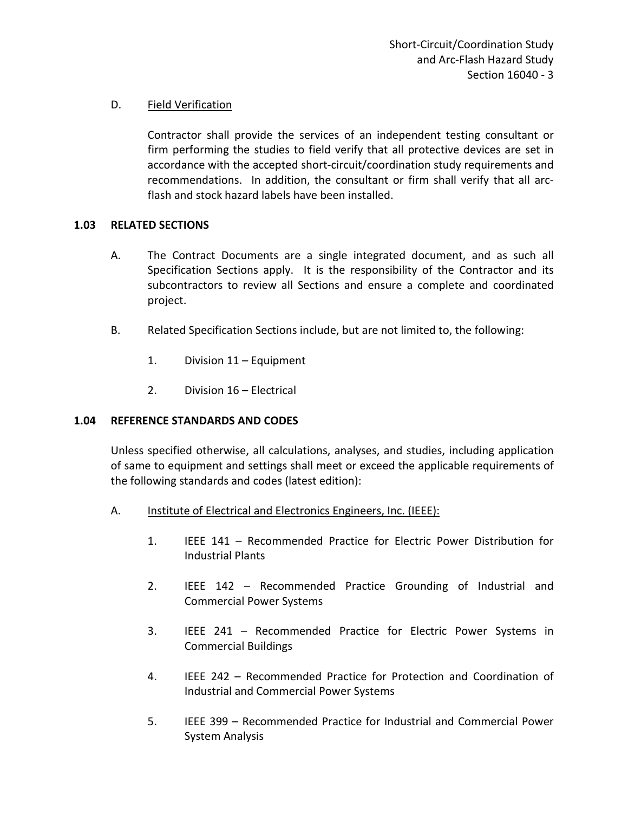## D. Field Verification

Contractor shall provide the services of an independent testing consultant or firm performing the studies to field verify that all protective devices are set in accordance with the accepted short-circuit/coordination study requirements and recommendations. In addition, the consultant or firm shall verify that all arcflash and stock hazard labels have been installed.

### <span id="page-4-0"></span>**1.03 RELATED SECTIONS**

- A. The Contract Documents are a single integrated document, and as such all Specification Sections apply. It is the responsibility of the Contractor and its subcontractors to review all Sections and ensure a complete and coordinated project.
- B. Related Specification Sections include, but are not limited to, the following:
	- 1. Division 11 Equipment
	- 2. Division 16 Electrical

#### <span id="page-4-1"></span>**1.04 REFERENCE STANDARDS AND CODES**

Unless specified otherwise, all calculations, analyses, and studies, including application of same to equipment and settings shall meet or exceed the applicable requirements of the following standards and codes (latest edition):

- A. Institute of Electrical and Electronics Engineers, Inc. (IEEE):
	- 1. IEEE 141 Recommended Practice for Electric Power Distribution for Industrial Plants
	- 2. IEEE 142 Recommended Practice Grounding of Industrial and Commercial Power Systems
	- 3. IEEE 241 Recommended Practice for Electric Power Systems in Commercial Buildings
	- 4. IEEE 242 Recommended Practice for Protection and Coordination of Industrial and Commercial Power Systems
	- 5. IEEE 399 Recommended Practice for Industrial and Commercial Power System Analysis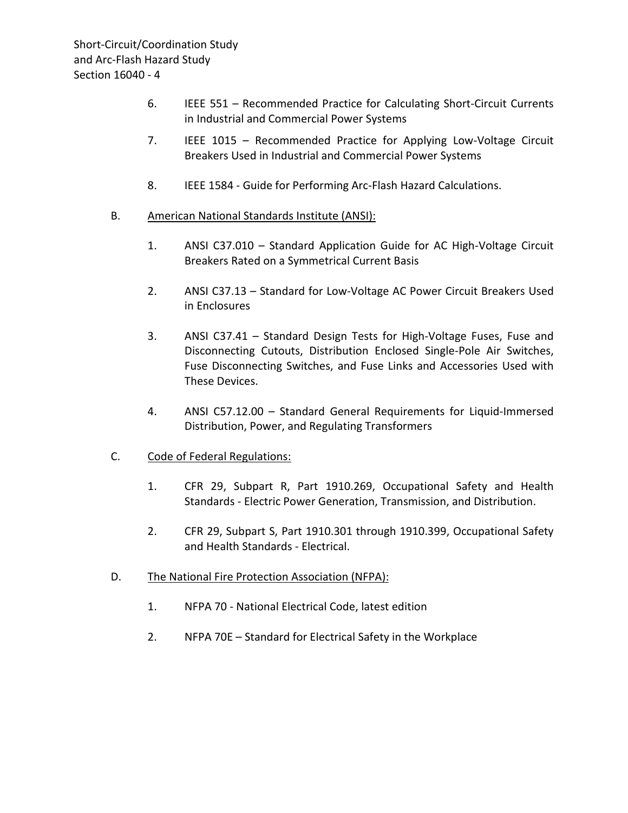- 6. IEEE 551 Recommended Practice for Calculating Short-Circuit Currents in Industrial and Commercial Power Systems
- 7. IEEE 1015 Recommended Practice for Applying Low-Voltage Circuit Breakers Used in Industrial and Commercial Power Systems
- 8. IEEE 1584 Guide for Performing Arc-Flash Hazard Calculations.
- B. American National Standards Institute (ANSI):
	- 1. ANSI C37.010 Standard Application Guide for AC High-Voltage Circuit Breakers Rated on a Symmetrical Current Basis
	- 2. ANSI C37.13 Standard for Low-Voltage AC Power Circuit Breakers Used in Enclosures
	- 3. ANSI C37.41 Standard Design Tests for High-Voltage Fuses, Fuse and Disconnecting Cutouts, Distribution Enclosed Single-Pole Air Switches, Fuse Disconnecting Switches, and Fuse Links and Accessories Used with These Devices.
	- 4. ANSI C57.12.00 Standard General Requirements for Liquid-Immersed Distribution, Power, and Regulating Transformers
- C. Code of Federal Regulations:
	- 1. CFR 29, Subpart R, Part 1910.269, Occupational Safety and Health Standards - Electric Power Generation, Transmission, and Distribution.
	- 2. CFR 29, Subpart S, Part 1910.301 through 1910.399, Occupational Safety and Health Standards - Electrical.
- D. The National Fire Protection Association (NFPA):
	- 1. NFPA 70 National Electrical Code, latest edition
	- 2. NFPA 70E Standard for Electrical Safety in the Workplace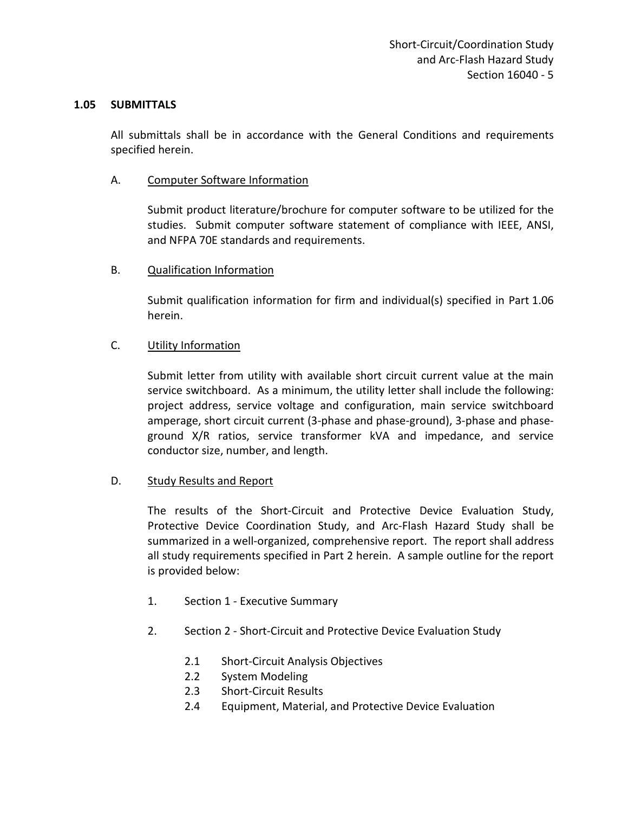#### <span id="page-6-0"></span>**1.05 SUBMITTALS**

All submittals shall be in accordance with the General Conditions and requirements specified herein.

#### A. Computer Software Information

Submit product literature/brochure for computer software to be utilized for the studies. Submit computer software statement of compliance with IEEE, ANSI, and NFPA 70E standards and requirements.

#### B. Qualification Information

Submit qualification information for firm and individual(s) specified in Part 1.06 herein.

#### C. Utility Information

Submit letter from utility with available short circuit current value at the main service switchboard. As a minimum, the utility letter shall include the following: project address, service voltage and configuration, main service switchboard amperage, short circuit current (3-phase and phase-ground), 3-phase and phaseground X/R ratios, service transformer kVA and impedance, and service conductor size, number, and length.

#### D. Study Results and Report

The results of the Short-Circuit and Protective Device Evaluation Study, Protective Device Coordination Study, and Arc-Flash Hazard Study shall be summarized in a well-organized, comprehensive report. The report shall address all study requirements specified in Part 2 herein. A sample outline for the report is provided below:

- 1. Section 1 Executive Summary
- 2. Section 2 Short-Circuit and Protective Device Evaluation Study
	- 2.1 Short-Circuit Analysis Objectives
	- 2.2 System Modeling
	- 2.3 Short-Circuit Results
	- 2.4 Equipment, Material, and Protective Device Evaluation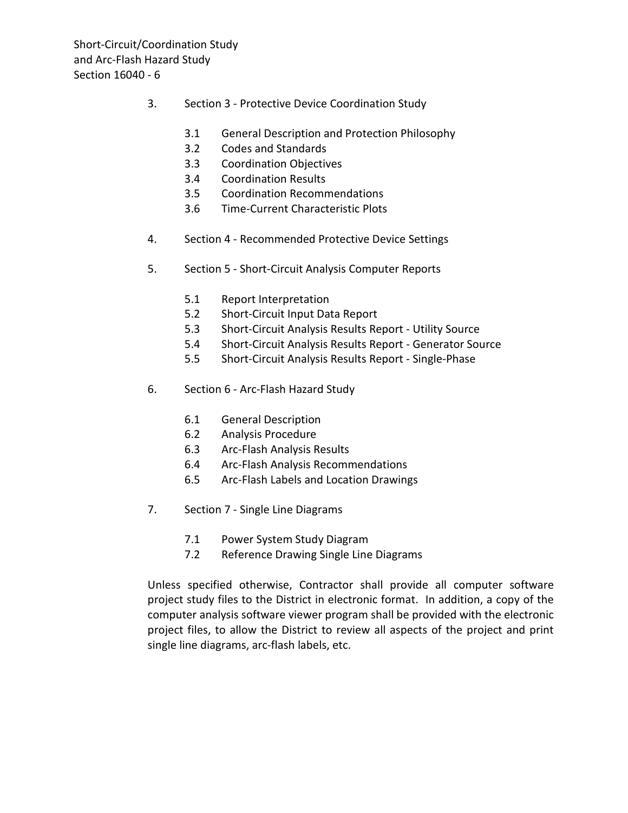- 3. Section 3 Protective Device Coordination Study
	- 3.1 General Description and Protection Philosophy
	- 3.2 Codes and Standards
	- 3.3 Coordination Objectives
	- 3.4 Coordination Results
	- 3.5 Coordination Recommendations
	- 3.6 Time-Current Characteristic Plots
- 4. Section 4 Recommended Protective Device Settings
- 5. Section 5 Short-Circuit Analysis Computer Reports
	- 5.1 Report Interpretation
	- 5.2 Short-Circuit Input Data Report
	- 5.3 Short-Circuit Analysis Results Report Utility Source
	- 5.4 Short-Circuit Analysis Results Report Generator Source
	- 5.5 Short-Circuit Analysis Results Report Single-Phase
- 6. Section 6 Arc-Flash Hazard Study
	- 6.1 General Description
	- 6.2 Analysis Procedure
	- 6.3 Arc-Flash Analysis Results
	- 6.4 Arc-Flash Analysis Recommendations
	- 6.5 Arc-Flash Labels and Location Drawings
- 7. Section 7 Single Line Diagrams
	- 7.1 Power System Study Diagram
	- 7.2 Reference Drawing Single Line Diagrams

Unless specified otherwise, Contractor shall provide all computer software project study files to the District in electronic format. In addition, a copy of the computer analysis software viewer program shall be provided with the electronic project files, to allow the District to review all aspects of the project and print single line diagrams, arc-flash labels, etc.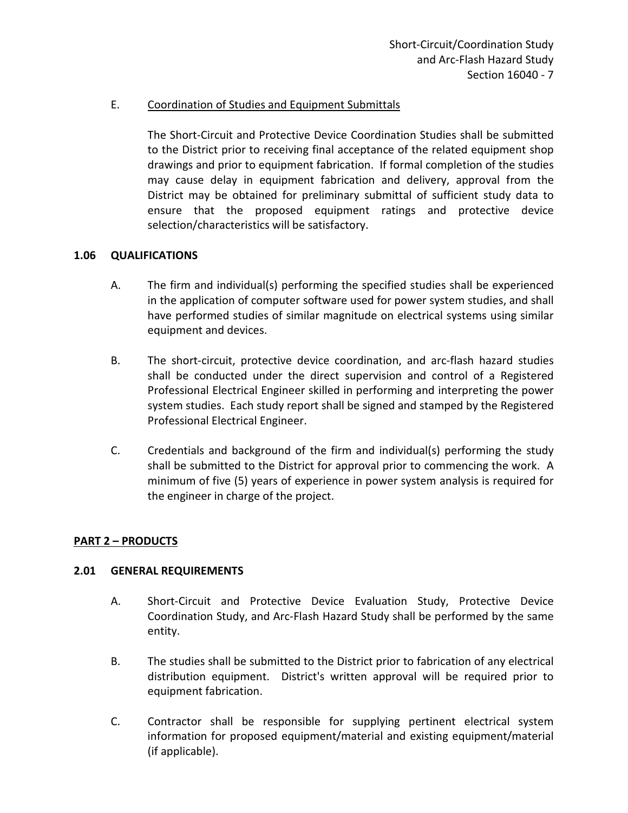### E. Coordination of Studies and Equipment Submittals

The Short-Circuit and Protective Device Coordination Studies shall be submitted to the District prior to receiving final acceptance of the related equipment shop drawings and prior to equipment fabrication. If formal completion of the studies may cause delay in equipment fabrication and delivery, approval from the District may be obtained for preliminary submittal of sufficient study data to ensure that the proposed equipment ratings and protective device selection/characteristics will be satisfactory.

#### <span id="page-8-0"></span>**1.06 QUALIFICATIONS**

- A. The firm and individual(s) performing the specified studies shall be experienced in the application of computer software used for power system studies, and shall have performed studies of similar magnitude on electrical systems using similar equipment and devices.
- B. The short-circuit, protective device coordination, and arc-flash hazard studies shall be conducted under the direct supervision and control of a Registered Professional Electrical Engineer skilled in performing and interpreting the power system studies. Each study report shall be signed and stamped by the Registered Professional Electrical Engineer.
- C. Credentials and background of the firm and individual(s) performing the study shall be submitted to the District for approval prior to commencing the work. A minimum of five (5) years of experience in power system analysis is required for the engineer in charge of the project.

#### <span id="page-8-1"></span>**PART 2 – PRODUCTS**

#### <span id="page-8-2"></span>**2.01 GENERAL REQUIREMENTS**

- A. Short-Circuit and Protective Device Evaluation Study, Protective Device Coordination Study, and Arc-Flash Hazard Study shall be performed by the same entity.
- B. The studies shall be submitted to the District prior to fabrication of any electrical distribution equipment. District's written approval will be required prior to equipment fabrication.
- C. Contractor shall be responsible for supplying pertinent electrical system information for proposed equipment/material and existing equipment/material (if applicable).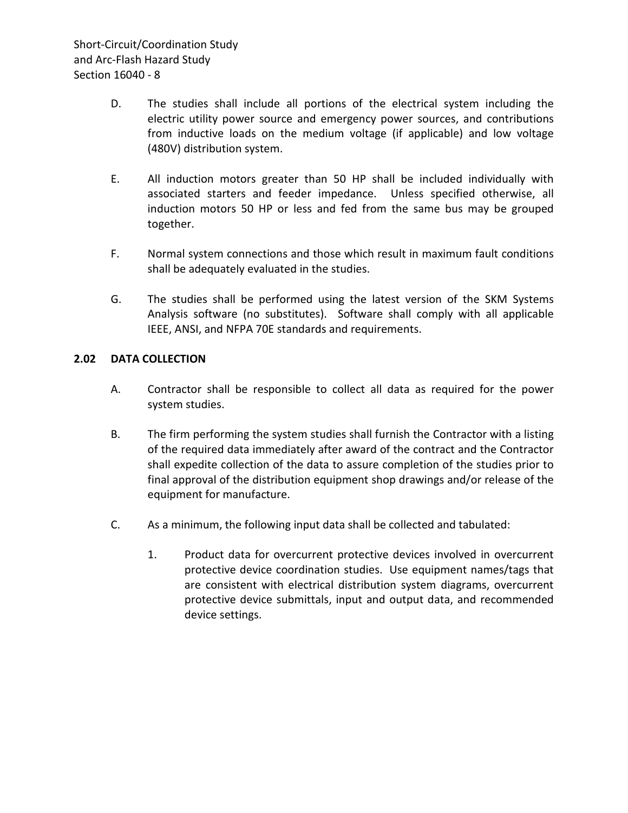- D. The studies shall include all portions of the electrical system including the electric utility power source and emergency power sources, and contributions from inductive loads on the medium voltage (if applicable) and low voltage (480V) distribution system.
- E. All induction motors greater than 50 HP shall be included individually with associated starters and feeder impedance. Unless specified otherwise, all induction motors 50 HP or less and fed from the same bus may be grouped together.
- F. Normal system connections and those which result in maximum fault conditions shall be adequately evaluated in the studies.
- G. The studies shall be performed using the latest version of the SKM Systems Analysis software (no substitutes). Software shall comply with all applicable IEEE, ANSI, and NFPA 70E standards and requirements.

### <span id="page-9-0"></span>**2.02 DATA COLLECTION**

- A. Contractor shall be responsible to collect all data as required for the power system studies.
- B. The firm performing the system studies shall furnish the Contractor with a listing of the required data immediately after award of the contract and the Contractor shall expedite collection of the data to assure completion of the studies prior to final approval of the distribution equipment shop drawings and/or release of the equipment for manufacture.
- C. As a minimum, the following input data shall be collected and tabulated:
	- 1. Product data for overcurrent protective devices involved in overcurrent protective device coordination studies. Use equipment names/tags that are consistent with electrical distribution system diagrams, overcurrent protective device submittals, input and output data, and recommended device settings.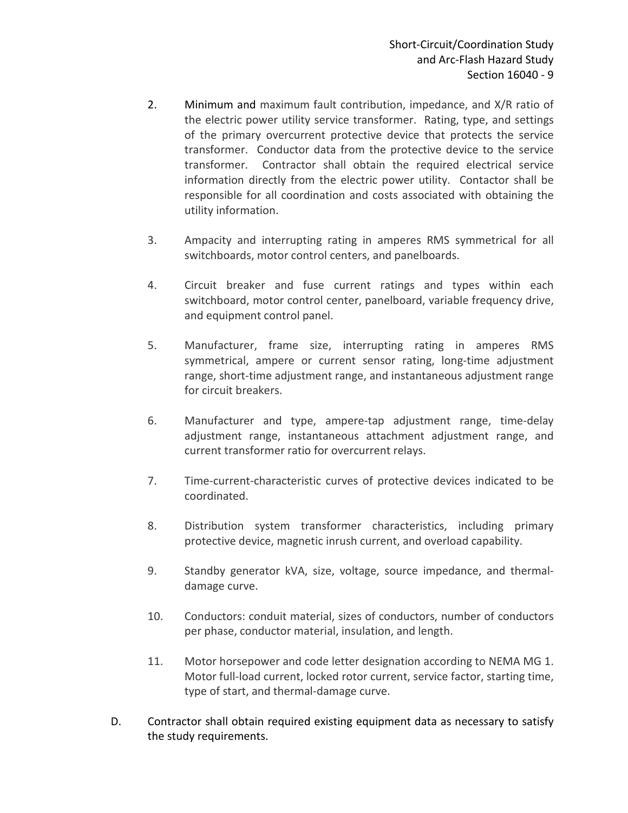- 2. Minimum and maximum fault contribution, impedance, and X/R ratio of the electric power utility service transformer. Rating, type, and settings of the primary overcurrent protective device that protects the service transformer. Conductor data from the protective device to the service transformer. Contractor shall obtain the required electrical service information directly from the electric power utility. Contactor shall be responsible for all coordination and costs associated with obtaining the utility information.
- 3. Ampacity and interrupting rating in amperes RMS symmetrical for all switchboards, motor control centers, and panelboards.
- 4. Circuit breaker and fuse current ratings and types within each switchboard, motor control center, panelboard, variable frequency drive, and equipment control panel.
- 5. Manufacturer, frame size, interrupting rating in amperes RMS symmetrical, ampere or current sensor rating, long-time adjustment range, short-time adjustment range, and instantaneous adjustment range for circuit breakers.
- 6. Manufacturer and type, ampere-tap adjustment range, time-delay adjustment range, instantaneous attachment adjustment range, and current transformer ratio for overcurrent relays.
- 7. Time-current-characteristic curves of protective devices indicated to be coordinated.
- 8. Distribution system transformer characteristics, including primary protective device, magnetic inrush current, and overload capability.
- 9. Standby generator kVA, size, voltage, source impedance, and thermaldamage curve.
- 10. Conductors: conduit material, sizes of conductors, number of conductors per phase, conductor material, insulation, and length.
- 11. Motor horsepower and code letter designation according to NEMA MG 1. Motor full-load current, locked rotor current, service factor, starting time, type of start, and thermal-damage curve.
- D. Contractor shall obtain required existing equipment data as necessary to satisfy the study requirements.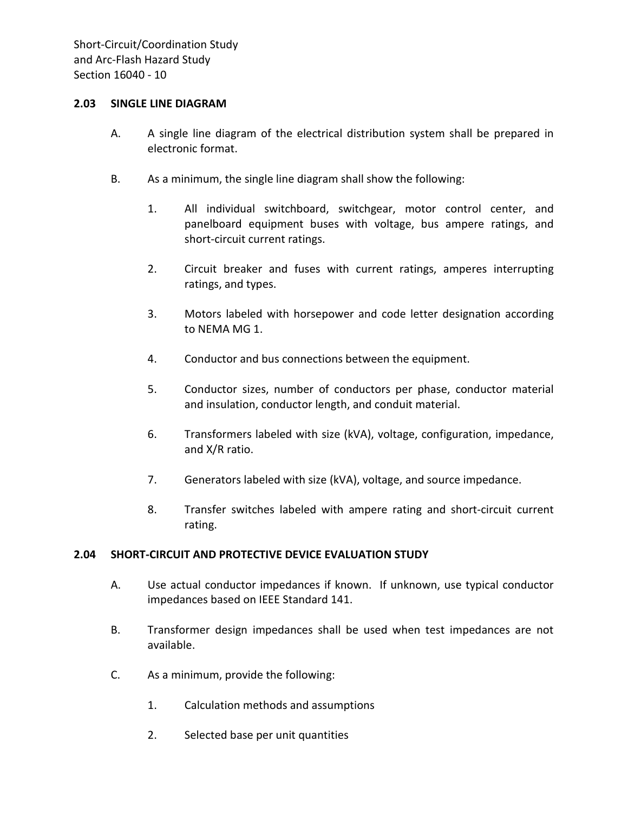#### <span id="page-11-0"></span>**2.03 SINGLE LINE DIAGRAM**

- A. A single line diagram of the electrical distribution system shall be prepared in electronic format.
- B. As a minimum, the single line diagram shall show the following:
	- 1. All individual switchboard, switchgear, motor control center, and panelboard equipment buses with voltage, bus ampere ratings, and short-circuit current ratings.
	- 2. Circuit breaker and fuses with current ratings, amperes interrupting ratings, and types.
	- 3. Motors labeled with horsepower and code letter designation according to NEMA MG 1.
	- 4. Conductor and bus connections between the equipment.
	- 5. Conductor sizes, number of conductors per phase, conductor material and insulation, conductor length, and conduit material.
	- 6. Transformers labeled with size (kVA), voltage, configuration, impedance, and X/R ratio.
	- 7. Generators labeled with size (kVA), voltage, and source impedance.
	- 8. Transfer switches labeled with ampere rating and short-circuit current rating.

#### <span id="page-11-1"></span>**2.04 SHORT-CIRCUIT AND PROTECTIVE DEVICE EVALUATION STUDY**

- A. Use actual conductor impedances if known. If unknown, use typical conductor impedances based on IEEE Standard 141.
- B. Transformer design impedances shall be used when test impedances are not available.
- C. As a minimum, provide the following:
	- 1. Calculation methods and assumptions
	- 2. Selected base per unit quantities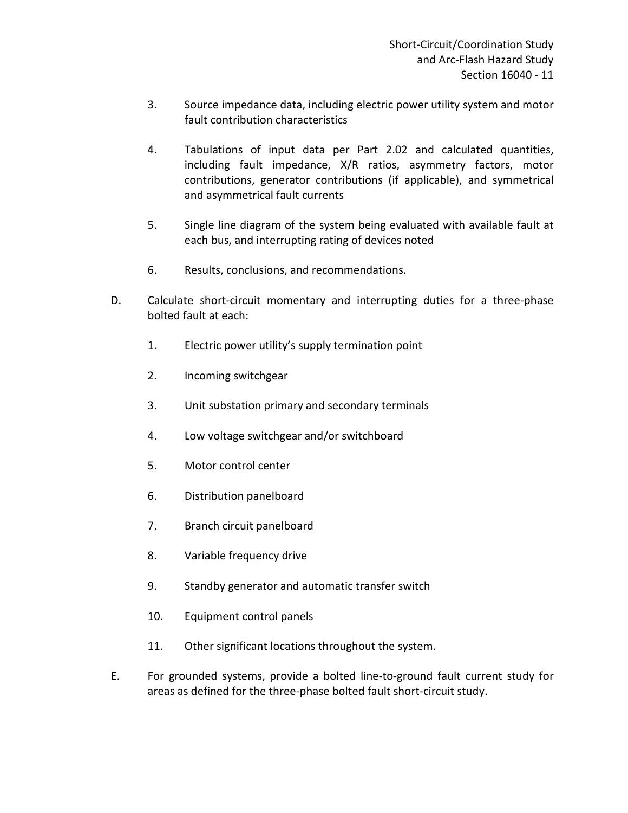- 3. Source impedance data, including electric power utility system and motor fault contribution characteristics
- 4. Tabulations of input data per Part 2.02 and calculated quantities, including fault impedance, X/R ratios, asymmetry factors, motor contributions, generator contributions (if applicable), and symmetrical and asymmetrical fault currents
- 5. Single line diagram of the system being evaluated with available fault at each bus, and interrupting rating of devices noted
- 6. Results, conclusions, and recommendations.
- D. Calculate short-circuit momentary and interrupting duties for a three-phase bolted fault at each:
	- 1. Electric power utility's supply termination point
	- 2. Incoming switchgear
	- 3. Unit substation primary and secondary terminals
	- 4. Low voltage switchgear and/or switchboard
	- 5. Motor control center
	- 6. Distribution panelboard
	- 7. Branch circuit panelboard
	- 8. Variable frequency drive
	- 9. Standby generator and automatic transfer switch
	- 10. Equipment control panels
	- 11. Other significant locations throughout the system.
- E. For grounded systems, provide a bolted line-to-ground fault current study for areas as defined for the three-phase bolted fault short-circuit study.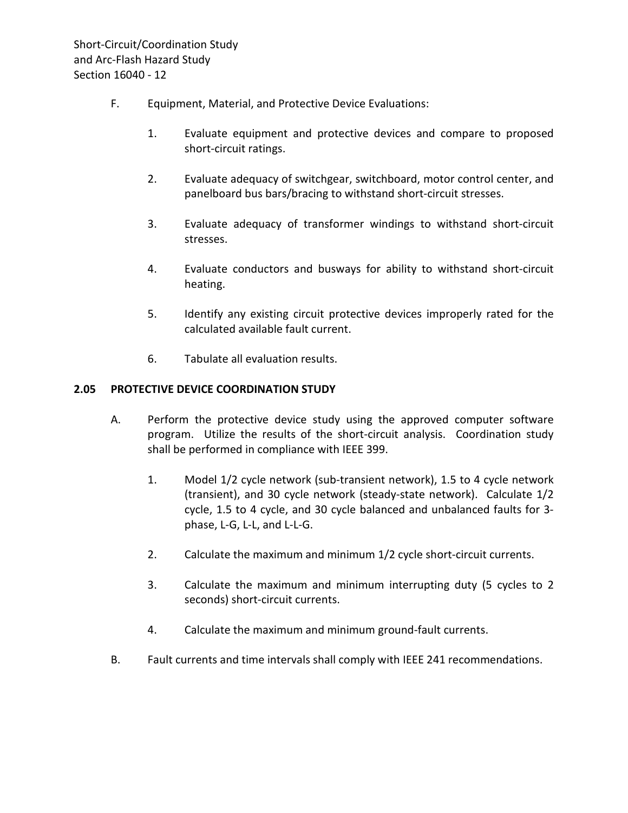- F. Equipment, Material, and Protective Device Evaluations:
	- 1. Evaluate equipment and protective devices and compare to proposed short-circuit ratings.
	- 2. Evaluate adequacy of switchgear, switchboard, motor control center, and panelboard bus bars/bracing to withstand short-circuit stresses.
	- 3. Evaluate adequacy of transformer windings to withstand short-circuit stresses.
	- 4. Evaluate conductors and busways for ability to withstand short-circuit heating.
	- 5. Identify any existing circuit protective devices improperly rated for the calculated available fault current.
	- 6. Tabulate all evaluation results.

#### <span id="page-13-0"></span>**2.05 PROTECTIVE DEVICE COORDINATION STUDY**

- A. Perform the protective device study using the approved computer software program. Utilize the results of the short-circuit analysis. Coordination study shall be performed in compliance with IEEE 399.
	- 1. Model 1/2 cycle network (sub-transient network), 1.5 to 4 cycle network (transient), and 30 cycle network (steady-state network). Calculate 1/2 cycle, 1.5 to 4 cycle, and 30 cycle balanced and unbalanced faults for 3 phase, L-G, L-L, and L-L-G.
	- 2. Calculate the maximum and minimum 1/2 cycle short-circuit currents.
	- 3. Calculate the maximum and minimum interrupting duty (5 cycles to 2 seconds) short-circuit currents.
	- 4. Calculate the maximum and minimum ground-fault currents.
- B. Fault currents and time intervals shall comply with IEEE 241 recommendations.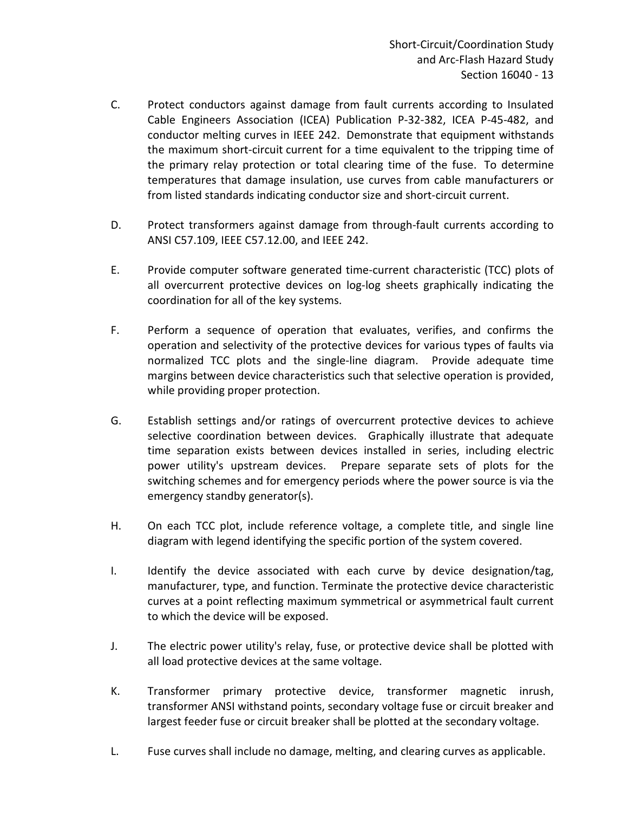- C. Protect conductors against damage from fault currents according to Insulated Cable Engineers Association (ICEA) Publication P-32-382, ICEA P-45-482, and conductor melting curves in IEEE 242. Demonstrate that equipment withstands the maximum short-circuit current for a time equivalent to the tripping time of the primary relay protection or total clearing time of the fuse. To determine temperatures that damage insulation, use curves from cable manufacturers or from listed standards indicating conductor size and short-circuit current.
- D. Protect transformers against damage from through-fault currents according to ANSI C57.109, IEEE C57.12.00, and IEEE 242.
- E. Provide computer software generated time-current characteristic (TCC) plots of all overcurrent protective devices on log-log sheets graphically indicating the coordination for all of the key systems.
- F. Perform a sequence of operation that evaluates, verifies, and confirms the operation and selectivity of the protective devices for various types of faults via normalized TCC plots and the single-line diagram. Provide adequate time margins between device characteristics such that selective operation is provided, while providing proper protection.
- G. Establish settings and/or ratings of overcurrent protective devices to achieve selective coordination between devices. Graphically illustrate that adequate time separation exists between devices installed in series, including electric power utility's upstream devices. Prepare separate sets of plots for the switching schemes and for emergency periods where the power source is via the emergency standby generator(s).
- H. On each TCC plot, include reference voltage, a complete title, and single line diagram with legend identifying the specific portion of the system covered.
- I. Identify the device associated with each curve by device designation/tag, manufacturer, type, and function. Terminate the protective device characteristic curves at a point reflecting maximum symmetrical or asymmetrical fault current to which the device will be exposed.
- J. The electric power utility's relay, fuse, or protective device shall be plotted with all load protective devices at the same voltage.
- K. Transformer primary protective device, transformer magnetic inrush, transformer ANSI withstand points, secondary voltage fuse or circuit breaker and largest feeder fuse or circuit breaker shall be plotted at the secondary voltage.
- L. Fuse curves shall include no damage, melting, and clearing curves as applicable.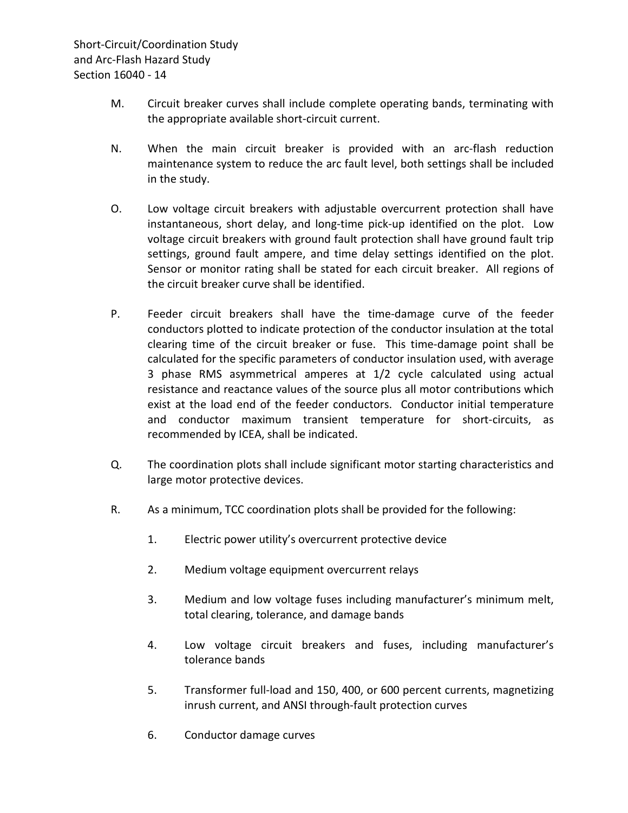- M. Circuit breaker curves shall include complete operating bands, terminating with the appropriate available short-circuit current.
- N. When the main circuit breaker is provided with an arc-flash reduction maintenance system to reduce the arc fault level, both settings shall be included in the study.
- O. Low voltage circuit breakers with adjustable overcurrent protection shall have instantaneous, short delay, and long-time pick-up identified on the plot. Low voltage circuit breakers with ground fault protection shall have ground fault trip settings, ground fault ampere, and time delay settings identified on the plot. Sensor or monitor rating shall be stated for each circuit breaker. All regions of the circuit breaker curve shall be identified.
- P. Feeder circuit breakers shall have the time-damage curve of the feeder conductors plotted to indicate protection of the conductor insulation at the total clearing time of the circuit breaker or fuse. This time-damage point shall be calculated for the specific parameters of conductor insulation used, with average 3 phase RMS asymmetrical amperes at 1/2 cycle calculated using actual resistance and reactance values of the source plus all motor contributions which exist at the load end of the feeder conductors. Conductor initial temperature and conductor maximum transient temperature for short-circuits, as recommended by ICEA, shall be indicated.
- Q. The coordination plots shall include significant motor starting characteristics and large motor protective devices.
- R. As a minimum, TCC coordination plots shall be provided for the following:
	- 1. Electric power utility's overcurrent protective device
	- 2. Medium voltage equipment overcurrent relays
	- 3. Medium and low voltage fuses including manufacturer's minimum melt, total clearing, tolerance, and damage bands
	- 4. Low voltage circuit breakers and fuses, including manufacturer's tolerance bands
	- 5. Transformer full-load and 150, 400, or 600 percent currents, magnetizing inrush current, and ANSI through-fault protection curves
	- 6. Conductor damage curves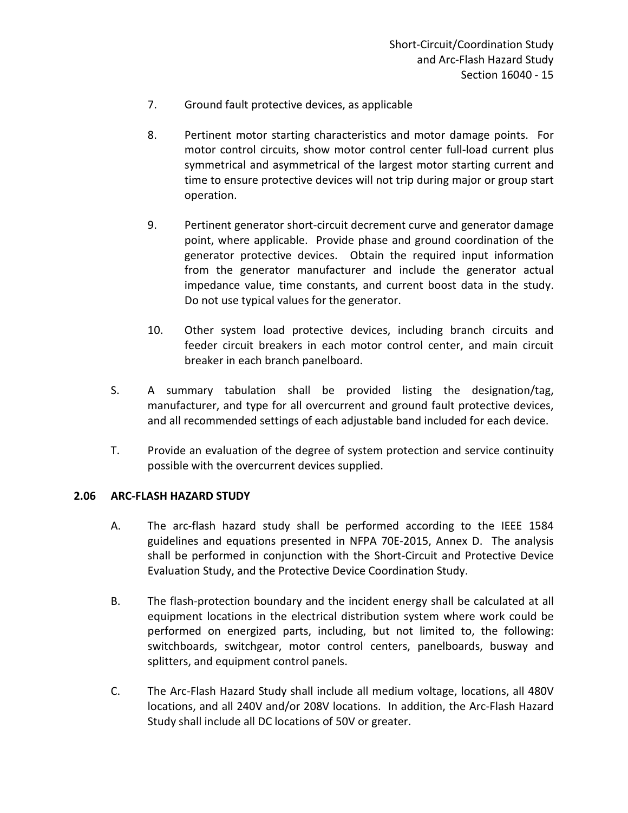- 7. Ground fault protective devices, as applicable
- 8. Pertinent motor starting characteristics and motor damage points. For motor control circuits, show motor control center full-load current plus symmetrical and asymmetrical of the largest motor starting current and time to ensure protective devices will not trip during major or group start operation.
- 9. Pertinent generator short-circuit decrement curve and generator damage point, where applicable. Provide phase and ground coordination of the generator protective devices. Obtain the required input information from the generator manufacturer and include the generator actual impedance value, time constants, and current boost data in the study. Do not use typical values for the generator.
- 10. Other system load protective devices, including branch circuits and feeder circuit breakers in each motor control center, and main circuit breaker in each branch panelboard.
- S. A summary tabulation shall be provided listing the designation/tag, manufacturer, and type for all overcurrent and ground fault protective devices, and all recommended settings of each adjustable band included for each device.
- T. Provide an evaluation of the degree of system protection and service continuity possible with the overcurrent devices supplied.

#### <span id="page-16-0"></span>**2.06 ARC-FLASH HAZARD STUDY**

- A. The arc-flash hazard study shall be performed according to the IEEE 1584 guidelines and equations presented in NFPA 70E-2015, Annex D. The analysis shall be performed in conjunction with the Short-Circuit and Protective Device Evaluation Study, and the Protective Device Coordination Study.
- B. The flash-protection boundary and the incident energy shall be calculated at all equipment locations in the electrical distribution system where work could be performed on energized parts, including, but not limited to, the following: switchboards, switchgear, motor control centers, panelboards, busway and splitters, and equipment control panels.
- C. The Arc-Flash Hazard Study shall include all medium voltage, locations, all 480V locations, and all 240V and/or 208V locations. In addition, the Arc-Flash Hazard Study shall include all DC locations of 50V or greater.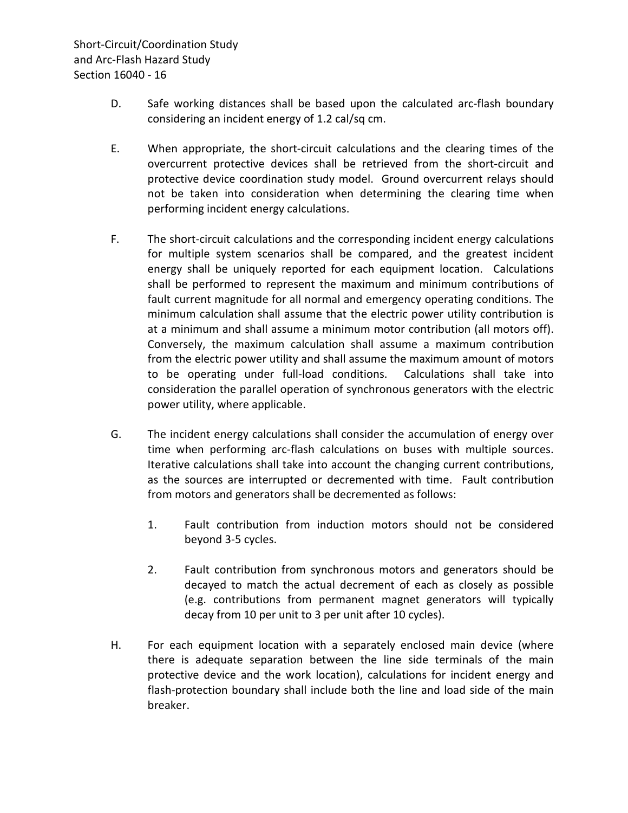Short-Circuit/Coordination Study and Arc-Flash Hazard Study Section 16040 - 16

- D. Safe working distances shall be based upon the calculated arc-flash boundary considering an incident energy of 1.2 cal/sq cm.
- E. When appropriate, the short-circuit calculations and the clearing times of the overcurrent protective devices shall be retrieved from the short-circuit and protective device coordination study model. Ground overcurrent relays should not be taken into consideration when determining the clearing time when performing incident energy calculations.
- F. The short-circuit calculations and the corresponding incident energy calculations for multiple system scenarios shall be compared, and the greatest incident energy shall be uniquely reported for each equipment location. Calculations shall be performed to represent the maximum and minimum contributions of fault current magnitude for all normal and emergency operating conditions. The minimum calculation shall assume that the electric power utility contribution is at a minimum and shall assume a minimum motor contribution (all motors off). Conversely, the maximum calculation shall assume a maximum contribution from the electric power utility and shall assume the maximum amount of motors to be operating under full-load conditions. Calculations shall take into consideration the parallel operation of synchronous generators with the electric power utility, where applicable.
- G. The incident energy calculations shall consider the accumulation of energy over time when performing arc-flash calculations on buses with multiple sources. Iterative calculations shall take into account the changing current contributions, as the sources are interrupted or decremented with time. Fault contribution from motors and generators shall be decremented as follows:
	- 1. Fault contribution from induction motors should not be considered beyond 3-5 cycles.
	- 2. Fault contribution from synchronous motors and generators should be decayed to match the actual decrement of each as closely as possible (e.g. contributions from permanent magnet generators will typically decay from 10 per unit to 3 per unit after 10 cycles).
- H. For each equipment location with a separately enclosed main device (where there is adequate separation between the line side terminals of the main protective device and the work location), calculations for incident energy and flash-protection boundary shall include both the line and load side of the main breaker.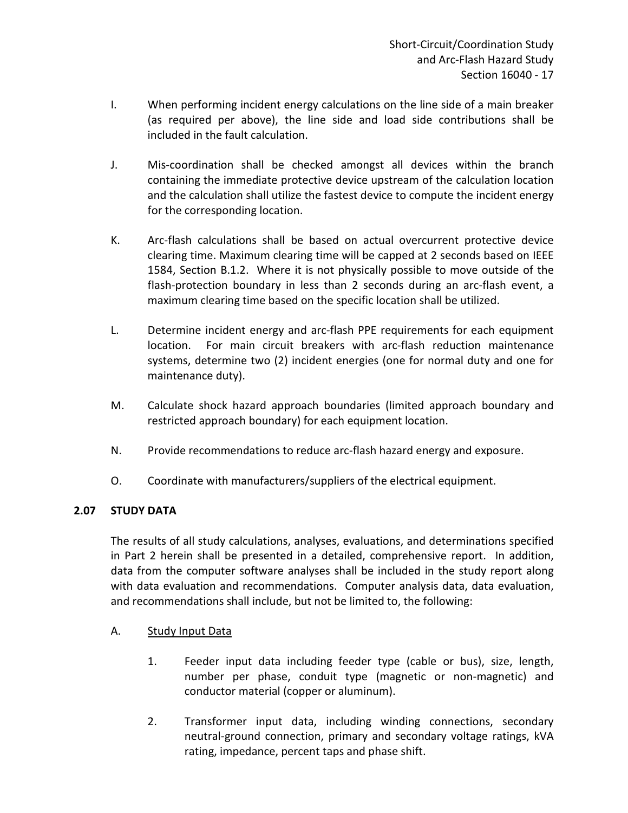- I. When performing incident energy calculations on the line side of a main breaker (as required per above), the line side and load side contributions shall be included in the fault calculation.
- J. Mis-coordination shall be checked amongst all devices within the branch containing the immediate protective device upstream of the calculation location and the calculation shall utilize the fastest device to compute the incident energy for the corresponding location.
- K. Arc-flash calculations shall be based on actual overcurrent protective device clearing time. Maximum clearing time will be capped at 2 seconds based on IEEE 1584, Section B.1.2. Where it is not physically possible to move outside of the flash-protection boundary in less than 2 seconds during an arc-flash event, a maximum clearing time based on the specific location shall be utilized.
- L. Determine incident energy and arc-flash PPE requirements for each equipment location. For main circuit breakers with arc-flash reduction maintenance systems, determine two (2) incident energies (one for normal duty and one for maintenance duty).
- M. Calculate shock hazard approach boundaries (limited approach boundary and restricted approach boundary) for each equipment location.
- N. Provide recommendations to reduce arc-flash hazard energy and exposure.
- O. Coordinate with manufacturers/suppliers of the electrical equipment.

## <span id="page-18-0"></span>**2.07 STUDY DATA**

The results of all study calculations, analyses, evaluations, and determinations specified in Part 2 herein shall be presented in a detailed, comprehensive report. In addition, data from the computer software analyses shall be included in the study report along with data evaluation and recommendations. Computer analysis data, data evaluation, and recommendations shall include, but not be limited to, the following:

## A. Study Input Data

- 1. Feeder input data including feeder type (cable or bus), size, length, number per phase, conduit type (magnetic or non-magnetic) and conductor material (copper or aluminum).
- 2. Transformer input data, including winding connections, secondary neutral-ground connection, primary and secondary voltage ratings, kVA rating, impedance, percent taps and phase shift.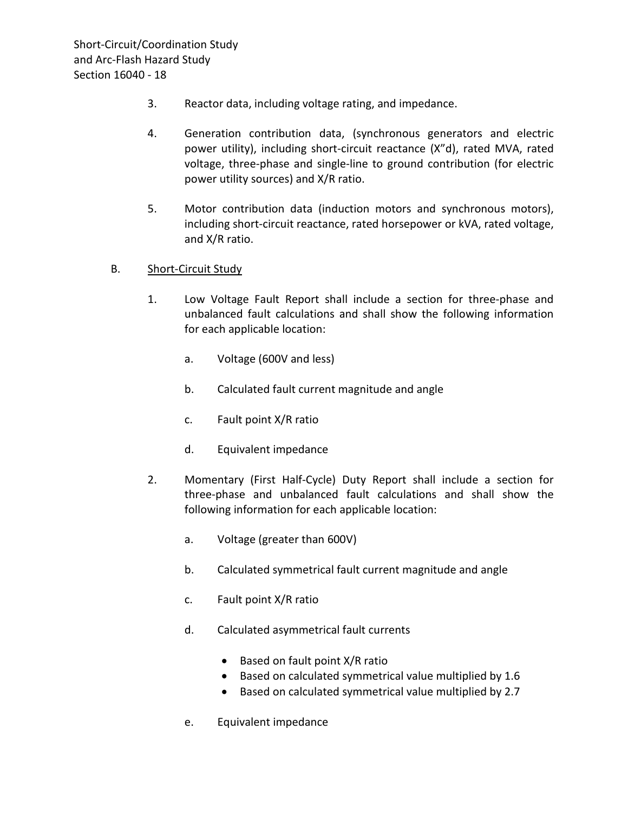- 3. Reactor data, including voltage rating, and impedance.
- 4. Generation contribution data, (synchronous generators and electric power utility), including short-circuit reactance (X"d), rated MVA, rated voltage, three-phase and single-line to ground contribution (for electric power utility sources) and X/R ratio.
- 5. Motor contribution data (induction motors and synchronous motors), including short-circuit reactance, rated horsepower or kVA, rated voltage, and X/R ratio.

#### B. Short-Circuit Study

- 1. Low Voltage Fault Report shall include a section for three-phase and unbalanced fault calculations and shall show the following information for each applicable location:
	- a. Voltage (600V and less)
	- b. Calculated fault current magnitude and angle
	- c. Fault point X/R ratio
	- d. Equivalent impedance
- 2. Momentary (First Half-Cycle) Duty Report shall include a section for three-phase and unbalanced fault calculations and shall show the following information for each applicable location:
	- a. Voltage (greater than 600V)
	- b. Calculated symmetrical fault current magnitude and angle
	- c. Fault point X/R ratio
	- d. Calculated asymmetrical fault currents
		- Based on fault point X/R ratio
		- Based on calculated symmetrical value multiplied by 1.6
		- Based on calculated symmetrical value multiplied by 2.7
	- e. Equivalent impedance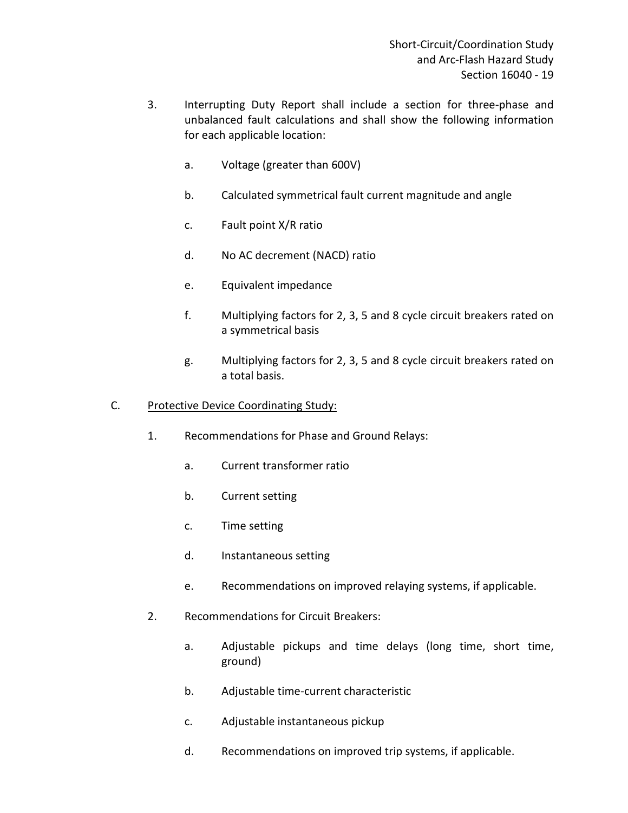- 3. Interrupting Duty Report shall include a section for three-phase and unbalanced fault calculations and shall show the following information for each applicable location:
	- a. Voltage (greater than 600V)
	- b. Calculated symmetrical fault current magnitude and angle
	- c. Fault point X/R ratio
	- d. No AC decrement (NACD) ratio
	- e. Equivalent impedance
	- f. Multiplying factors for 2, 3, 5 and 8 cycle circuit breakers rated on a symmetrical basis
	- g. Multiplying factors for 2, 3, 5 and 8 cycle circuit breakers rated on a total basis.
- C. Protective Device Coordinating Study:
	- 1. Recommendations for Phase and Ground Relays:
		- a. Current transformer ratio
		- b. Current setting
		- c. Time setting
		- d. Instantaneous setting
		- e. Recommendations on improved relaying systems, if applicable.
	- 2. Recommendations for Circuit Breakers:
		- a. Adjustable pickups and time delays (long time, short time, ground)
		- b. Adjustable time-current characteristic
		- c. Adjustable instantaneous pickup
		- d. Recommendations on improved trip systems, if applicable.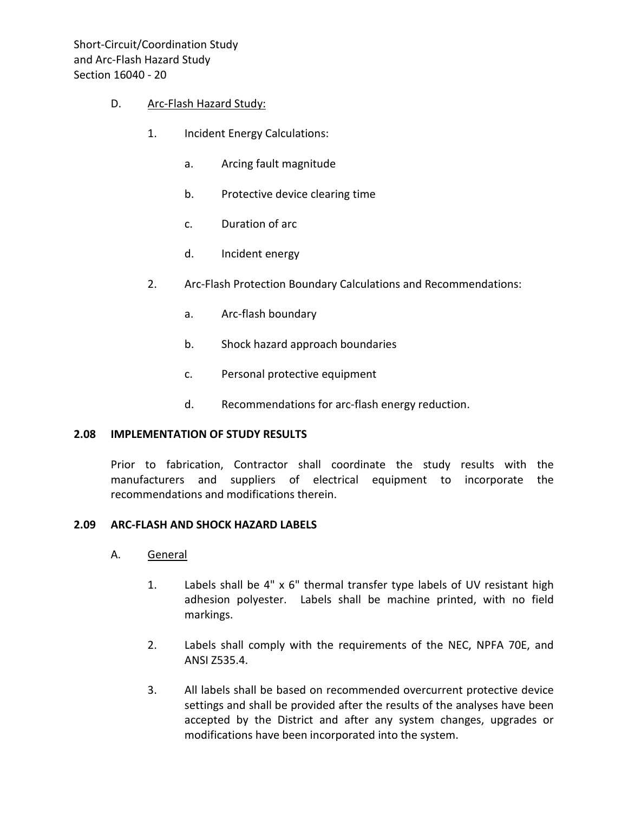#### D. Arc-Flash Hazard Study:

- 1. Incident Energy Calculations:
	- a. Arcing fault magnitude
	- b. Protective device clearing time
	- c. Duration of arc
	- d. Incident energy
- 2. Arc-Flash Protection Boundary Calculations and Recommendations:
	- a. Arc-flash boundary
	- b. Shock hazard approach boundaries
	- c. Personal protective equipment
	- d. Recommendations for arc-flash energy reduction.

#### <span id="page-21-0"></span>**2.08 IMPLEMENTATION OF STUDY RESULTS**

Prior to fabrication, Contractor shall coordinate the study results with the manufacturers and suppliers of electrical equipment to incorporate the recommendations and modifications therein.

#### <span id="page-21-1"></span>**2.09 ARC-FLASH AND SHOCK HAZARD LABELS**

- A. General
	- 1. Labels shall be 4" x 6" thermal transfer type labels of UV resistant high adhesion polyester. Labels shall be machine printed, with no field markings.
	- 2. Labels shall comply with the requirements of the NEC, NPFA 70E, and ANSI Z535.4.
	- 3. All labels shall be based on recommended overcurrent protective device settings and shall be provided after the results of the analyses have been accepted by the District and after any system changes, upgrades or modifications have been incorporated into the system.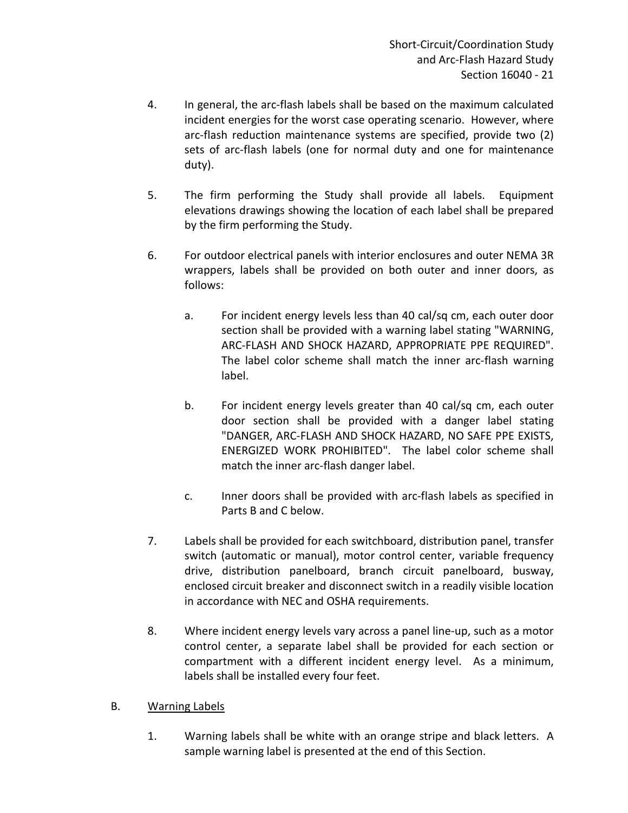- 4. In general, the arc-flash labels shall be based on the maximum calculated incident energies for the worst case operating scenario. However, where arc-flash reduction maintenance systems are specified, provide two (2) sets of arc-flash labels (one for normal duty and one for maintenance duty).
- 5. The firm performing the Study shall provide all labels. Equipment elevations drawings showing the location of each label shall be prepared by the firm performing the Study.
- 6. For outdoor electrical panels with interior enclosures and outer NEMA 3R wrappers, labels shall be provided on both outer and inner doors, as follows:
	- a. For incident energy levels less than 40 cal/sq cm, each outer door section shall be provided with a warning label stating "WARNING, ARC-FLASH AND SHOCK HAZARD, APPROPRIATE PPE REQUIRED". The label color scheme shall match the inner arc-flash warning label.
	- b. For incident energy levels greater than 40 cal/sq cm, each outer door section shall be provided with a danger label stating "DANGER, ARC-FLASH AND SHOCK HAZARD, NO SAFE PPE EXISTS, ENERGIZED WORK PROHIBITED". The label color scheme shall match the inner arc-flash danger label.
	- c. Inner doors shall be provided with arc-flash labels as specified in Parts B and C below.
- 7. Labels shall be provided for each switchboard, distribution panel, transfer switch (automatic or manual), motor control center, variable frequency drive, distribution panelboard, branch circuit panelboard, busway, enclosed circuit breaker and disconnect switch in a readily visible location in accordance with NEC and OSHA requirements.
- 8. Where incident energy levels vary across a panel line-up, such as a motor control center, a separate label shall be provided for each section or compartment with a different incident energy level. As a minimum, labels shall be installed every four feet.
- B. Warning Labels
	- 1. Warning labels shall be white with an orange stripe and black letters. A sample warning label is presented at the end of this Section.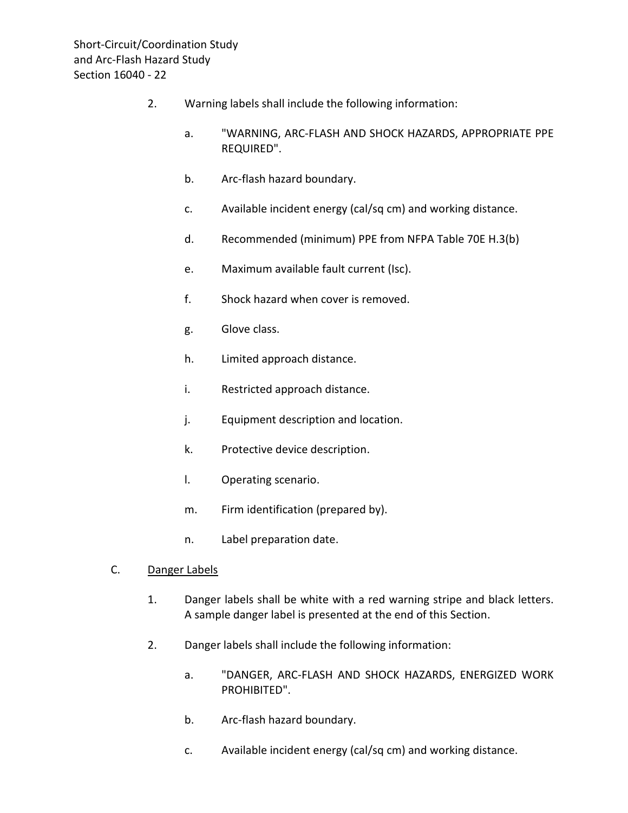- 2. Warning labels shall include the following information:
	- a. "WARNING, ARC-FLASH AND SHOCK HAZARDS, APPROPRIATE PPE REQUIRED".
	- b. Arc-flash hazard boundary.
	- c. Available incident energy (cal/sq cm) and working distance.
	- d. Recommended (minimum) PPE from NFPA Table 70E H.3(b)
	- e. Maximum available fault current (Isc).
	- f. Shock hazard when cover is removed.
	- g. Glove class.
	- h. Limited approach distance.
	- i. Restricted approach distance.
	- j. Equipment description and location.
	- k. Protective device description.
	- l. Operating scenario.
	- m. Firm identification (prepared by).
	- n. Label preparation date.
- C. Danger Labels
	- 1. Danger labels shall be white with a red warning stripe and black letters. A sample danger label is presented at the end of this Section.
	- 2. Danger labels shall include the following information:
		- a. "DANGER, ARC-FLASH AND SHOCK HAZARDS, ENERGIZED WORK PROHIBITED".
		- b. Arc-flash hazard boundary.
		- c. Available incident energy (cal/sq cm) and working distance.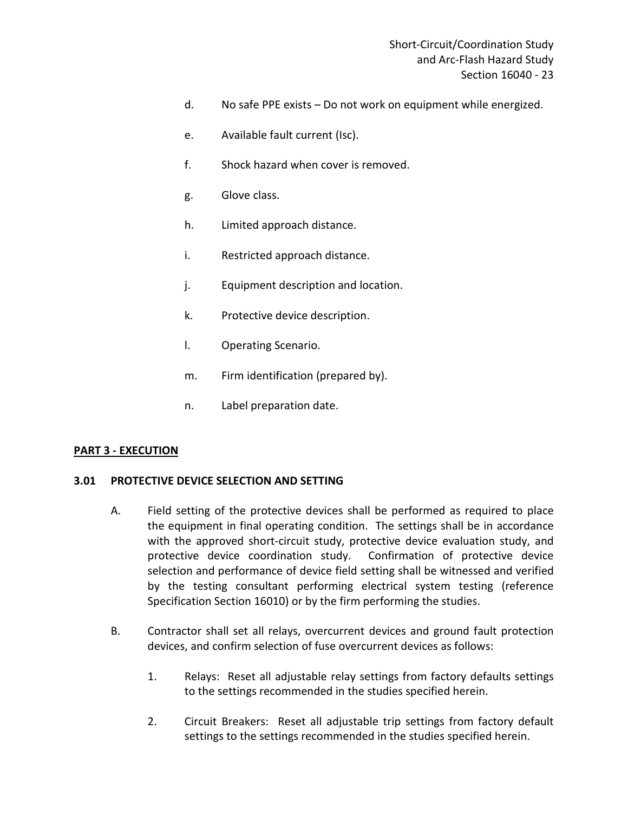- d. No safe PPE exists Do not work on equipment while energized.
- e. Available fault current (Isc).
- f. Shock hazard when cover is removed.
- g. Glove class.
- h. Limited approach distance.
- i. Restricted approach distance.
- j. Equipment description and location.
- k. Protective device description.
- l. Operating Scenario.
- m. Firm identification (prepared by).
- n. Label preparation date.

#### <span id="page-24-0"></span>**PART 3 - EXECUTION**

#### <span id="page-24-1"></span>**3.01 PROTECTIVE DEVICE SELECTION AND SETTING**

- A. Field setting of the protective devices shall be performed as required to place the equipment in final operating condition. The settings shall be in accordance with the approved short-circuit study, protective device evaluation study, and protective device coordination study. Confirmation of protective device selection and performance of device field setting shall be witnessed and verified by the testing consultant performing electrical system testing (reference Specification Section 16010) or by the firm performing the studies.
- B. Contractor shall set all relays, overcurrent devices and ground fault protection devices, and confirm selection of fuse overcurrent devices as follows:
	- 1. Relays: Reset all adjustable relay settings from factory defaults settings to the settings recommended in the studies specified herein.
	- 2. Circuit Breakers: Reset all adjustable trip settings from factory default settings to the settings recommended in the studies specified herein.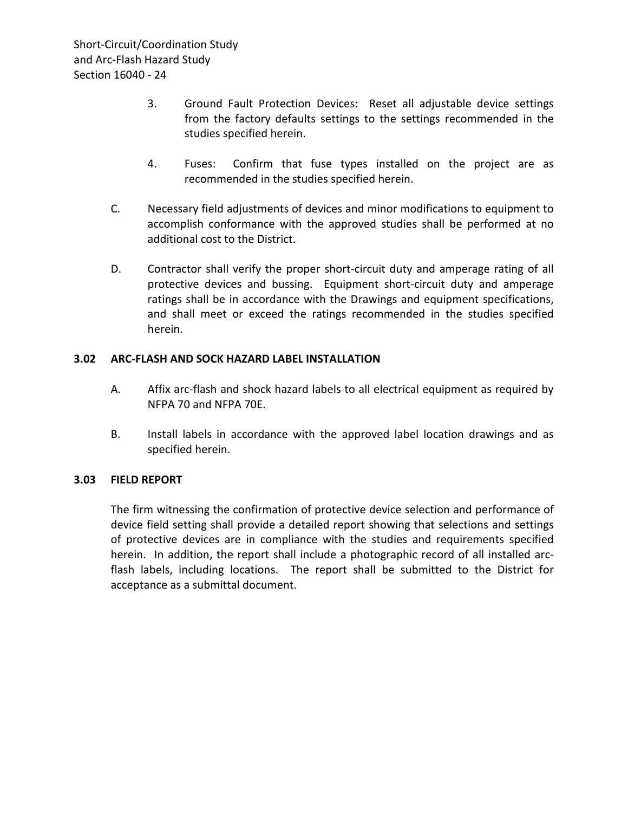- 3. Ground Fault Protection Devices: Reset all adjustable device settings from the factory defaults settings to the settings recommended in the studies specified herein.
- 4. Fuses: Confirm that fuse types installed on the project are as recommended in the studies specified herein.
- C. Necessary field adjustments of devices and minor modifications to equipment to accomplish conformance with the approved studies shall be performed at no additional cost to the District.
- D. Contractor shall verify the proper short-circuit duty and amperage rating of all protective devices and bussing. Equipment short-circuit duty and amperage ratings shall be in accordance with the Drawings and equipment specifications, and shall meet or exceed the ratings recommended in the studies specified herein.

### <span id="page-25-0"></span>**3.02 ARC-FLASH AND SOCK HAZARD LABEL INSTALLATION**

- A. Affix arc-flash and shock hazard labels to all electrical equipment as required by NFPA 70 and NFPA 70E.
- B. Install labels in accordance with the approved label location drawings and as specified herein.

## <span id="page-25-1"></span>**3.03 FIELD REPORT**

The firm witnessing the confirmation of protective device selection and performance of device field setting shall provide a detailed report showing that selections and settings of protective devices are in compliance with the studies and requirements specified herein. In addition, the report shall include a photographic record of all installed arcflash labels, including locations. The report shall be submitted to the District for acceptance as a submittal document.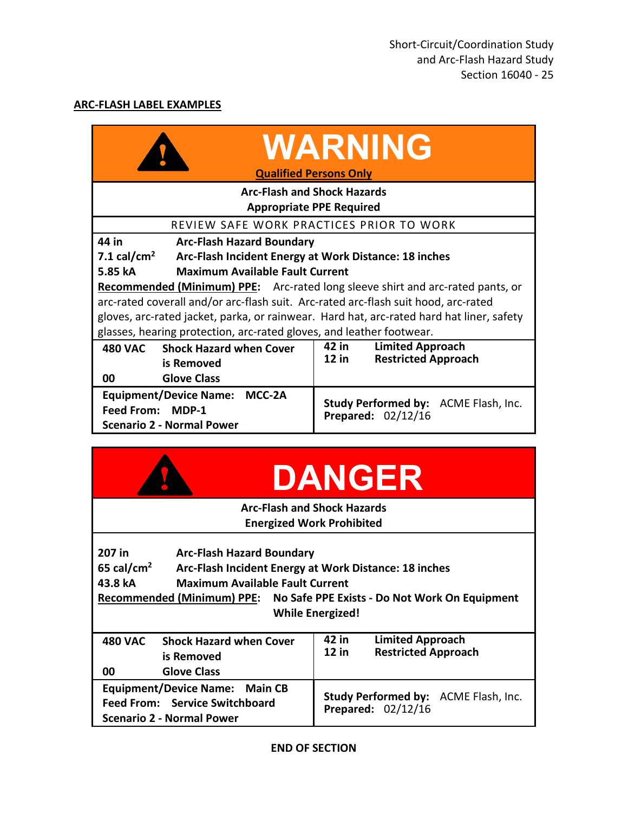## <span id="page-26-0"></span>**ARC-FLASH LABEL EXAMPLES**

|                                                                                          | <b>WARNING</b><br><b>Qualified Persons Only</b>            |  |  |
|------------------------------------------------------------------------------------------|------------------------------------------------------------|--|--|
| <b>Arc-Flash and Shock Hazards</b>                                                       |                                                            |  |  |
| <b>Appropriate PPE Required</b>                                                          |                                                            |  |  |
| REVIEW SAFE WORK PRACTICES PRIOR TO WORK                                                 |                                                            |  |  |
| 44 in<br><b>Arc-Flash Hazard Boundary</b>                                                |                                                            |  |  |
| 7.1 cal/cm <sup>2</sup><br>Arc-Flash Incident Energy at Work Distance: 18 inches         |                                                            |  |  |
| <b>Maximum Available Fault Current</b><br>5.85 kA                                        |                                                            |  |  |
| <b>Recommended (Minimum) PPE:</b> Arc-rated long sleeve shirt and arc-rated pants, or    |                                                            |  |  |
| arc-rated coverall and/or arc-flash suit. Arc-rated arc-flash suit hood, arc-rated       |                                                            |  |  |
| gloves, arc-rated jacket, parka, or rainwear. Hard hat, arc-rated hard hat liner, safety |                                                            |  |  |
| glasses, hearing protection, arc-rated gloves, and leather footwear.                     |                                                            |  |  |
| 480 VAC Shock Hazard when Cover                                                          | 42 in<br><b>Limited Approach</b>                           |  |  |
| is Removed                                                                               | 12 in<br><b>Restricted Approach</b>                        |  |  |
| <b>Glove Class</b><br>00                                                                 |                                                            |  |  |
| Equipment/Device Name: MCC-2A                                                            | Study Performed by: ACME Flash, Inc.<br>Prepared: 02/12/16 |  |  |
| Feed From: MDP-1                                                                         |                                                            |  |  |
| <b>Scenario 2 - Normal Power</b>                                                         |                                                            |  |  |

|                                                                                                                                                                                                                                                                                           | <b>DANGER</b>                                                             |  |  |
|-------------------------------------------------------------------------------------------------------------------------------------------------------------------------------------------------------------------------------------------------------------------------------------------|---------------------------------------------------------------------------|--|--|
| <b>Arc-Flash and Shock Hazards</b>                                                                                                                                                                                                                                                        |                                                                           |  |  |
| <b>Energized Work Prohibited</b>                                                                                                                                                                                                                                                          |                                                                           |  |  |
| 207 in<br><b>Arc-Flash Hazard Boundary</b><br>65 cal/cm <sup>2</sup><br>Arc-Flash Incident Energy at Work Distance: 18 inches<br><b>Maximum Available Fault Current</b><br>43.8 kA<br>Recommended (Minimum) PPE: No Safe PPE Exists - Do Not Work On Equipment<br><b>While Energized!</b> |                                                                           |  |  |
| <b>Shock Hazard when Cover</b><br><b>480 VAC</b><br>is Removed<br><b>Glove Class</b><br>00                                                                                                                                                                                                | 42 in<br><b>Limited Approach</b><br>$12$ in<br><b>Restricted Approach</b> |  |  |
| Equipment/Device Name: Main CB<br>Feed From: Service Switchboard<br>Scenario 2 - Normal Power                                                                                                                                                                                             | Study Performed by: ACME Flash, Inc.<br>Prepared: 02/12/16                |  |  |